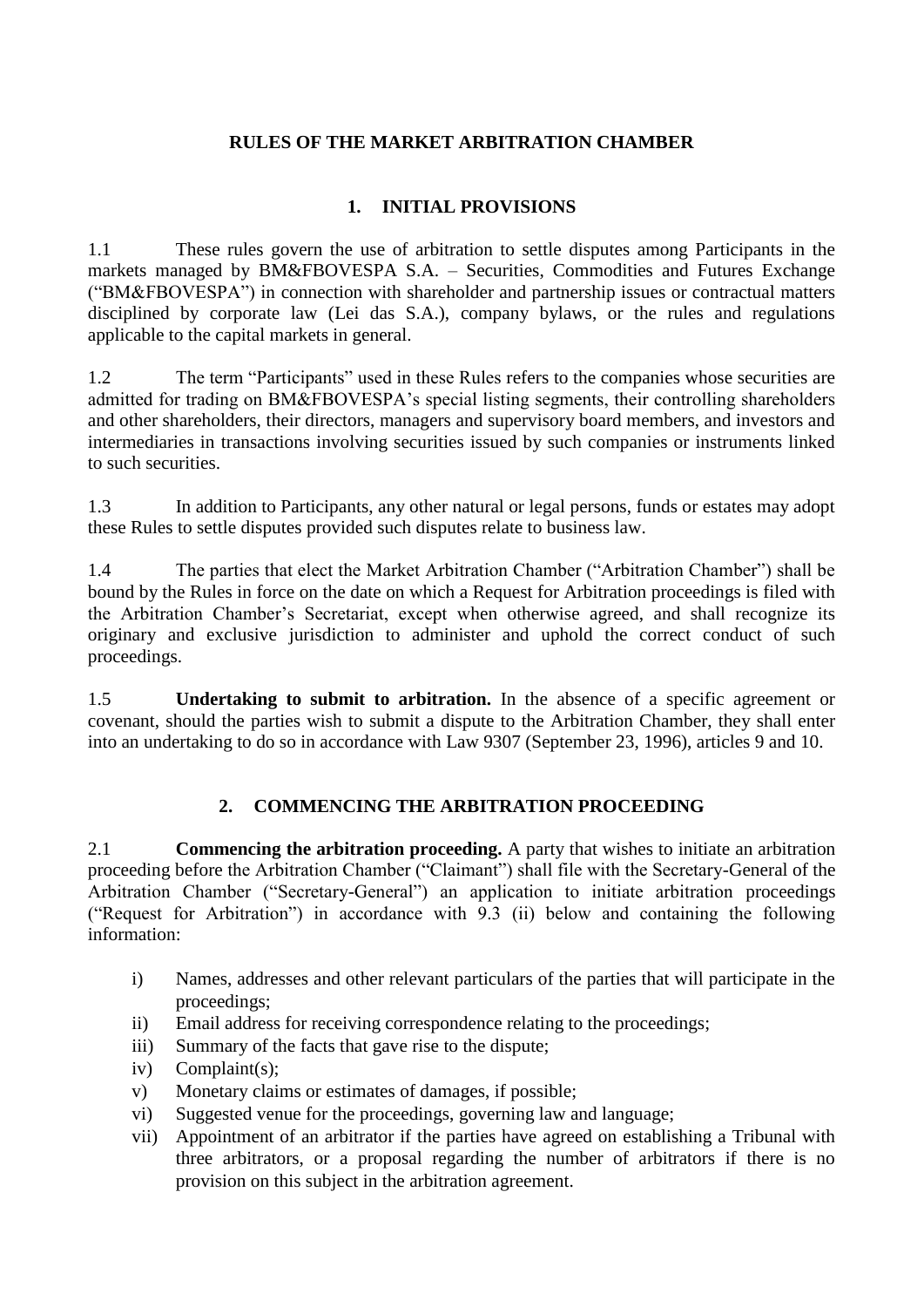#### **RULES OF THE MARKET ARBITRATION CHAMBER**

#### **1. INITIAL PROVISIONS**

1.1 These rules govern the use of arbitration to settle disputes among Participants in the markets managed by BM&FBOVESPA S.A. – Securities, Commodities and Futures Exchange ("BM&FBOVESPA") in connection with shareholder and partnership issues or contractual matters disciplined by corporate law (Lei das S.A.), company bylaws, or the rules and regulations applicable to the capital markets in general.

1.2 The term "Participants" used in these Rules refers to the companies whose securities are admitted for trading on BM&FBOVESPA's special listing segments, their controlling shareholders and other shareholders, their directors, managers and supervisory board members, and investors and intermediaries in transactions involving securities issued by such companies or instruments linked to such securities.

1.3 In addition to Participants, any other natural or legal persons, funds or estates may adopt these Rules to settle disputes provided such disputes relate to business law.

1.4 The parties that elect the Market Arbitration Chamber ("Arbitration Chamber") shall be bound by the Rules in force on the date on which a Request for Arbitration proceedings is filed with the Arbitration Chamber's Secretariat, except when otherwise agreed, and shall recognize its originary and exclusive jurisdiction to administer and uphold the correct conduct of such proceedings.

1.5 **Undertaking to submit to arbitration.** In the absence of a specific agreement or covenant, should the parties wish to submit a dispute to the Arbitration Chamber, they shall enter into an undertaking to do so in accordance with Law 9307 (September 23, 1996), articles 9 and 10.

## **2. COMMENCING THE ARBITRATION PROCEEDING**

2.1 **Commencing the arbitration proceeding.** A party that wishes to initiate an arbitration proceeding before the Arbitration Chamber ("Claimant") shall file with the Secretary-General of the Arbitration Chamber ("Secretary-General") an application to initiate arbitration proceedings ("Request for Arbitration") in accordance with 9.3 (ii) below and containing the following information:

- i) Names, addresses and other relevant particulars of the parties that will participate in the proceedings;
- ii) Email address for receiving correspondence relating to the proceedings;
- iii) Summary of the facts that gave rise to the dispute;
- iv) Complaint(s);
- v) Monetary claims or estimates of damages, if possible;
- vi) Suggested venue for the proceedings, governing law and language;
- vii) Appointment of an arbitrator if the parties have agreed on establishing a Tribunal with three arbitrators, or a proposal regarding the number of arbitrators if there is no provision on this subject in the arbitration agreement.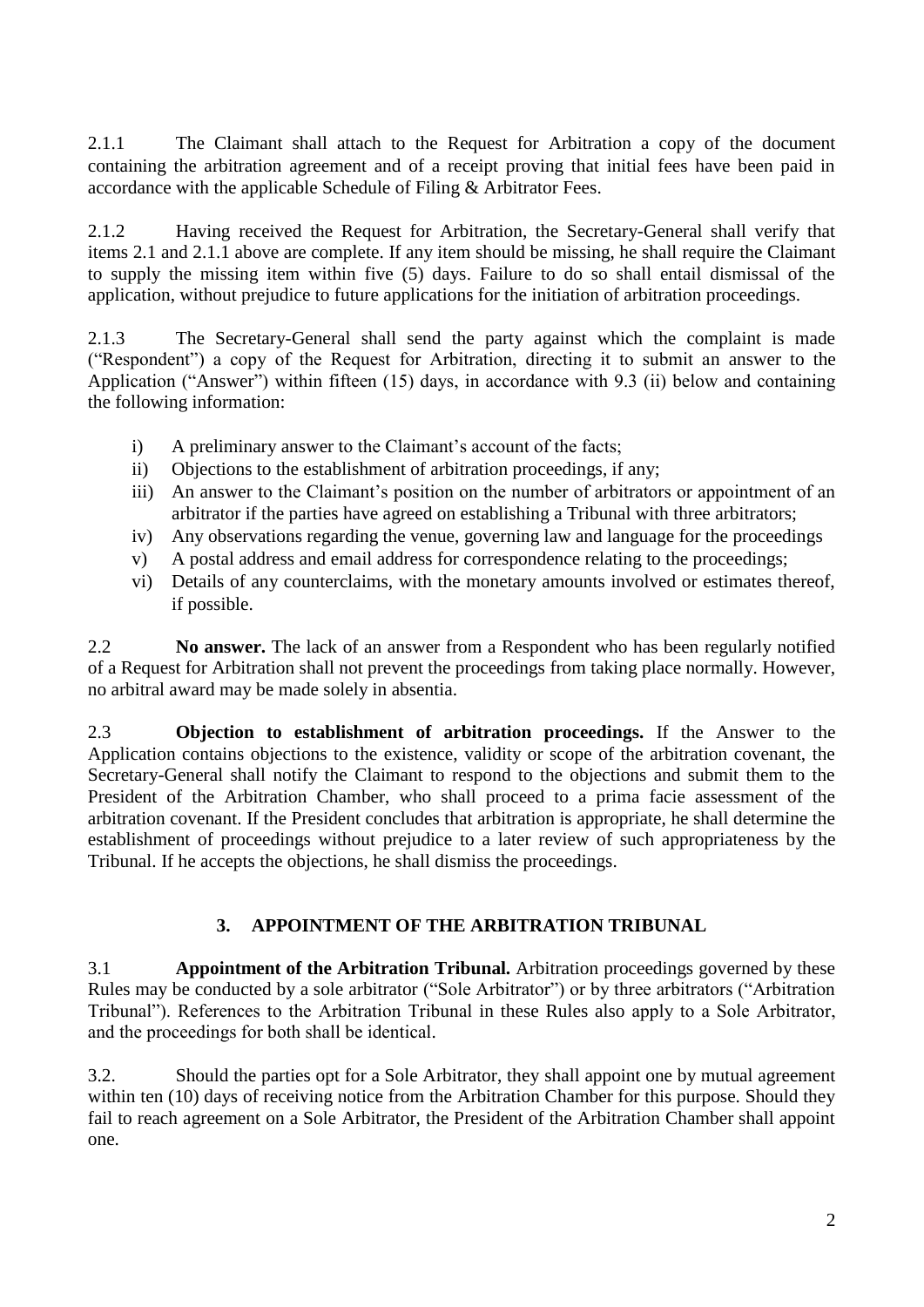2.1.1 The Claimant shall attach to the Request for Arbitration a copy of the document containing the arbitration agreement and of a receipt proving that initial fees have been paid in accordance with the applicable Schedule of Filing & Arbitrator Fees.

2.1.2 Having received the Request for Arbitration, the Secretary-General shall verify that items 2.1 and 2.1.1 above are complete. If any item should be missing, he shall require the Claimant to supply the missing item within five (5) days. Failure to do so shall entail dismissal of the application, without prejudice to future applications for the initiation of arbitration proceedings.

2.1.3 The Secretary-General shall send the party against which the complaint is made ("Respondent") a copy of the Request for Arbitration, directing it to submit an answer to the Application ("Answer") within fifteen (15) days, in accordance with 9.3 (ii) below and containing the following information:

- i) A preliminary answer to the Claimant's account of the facts;
- ii) Objections to the establishment of arbitration proceedings, if any;
- iii) An answer to the Claimant's position on the number of arbitrators or appointment of an arbitrator if the parties have agreed on establishing a Tribunal with three arbitrators;
- iv) Any observations regarding the venue, governing law and language for the proceedings
- v) A postal address and email address for correspondence relating to the proceedings;
- vi) Details of any counterclaims, with the monetary amounts involved or estimates thereof, if possible.

2.2 **No answer.** The lack of an answer from a Respondent who has been regularly notified of a Request for Arbitration shall not prevent the proceedings from taking place normally. However, no arbitral award may be made solely in absentia.

2.3 **Objection to establishment of arbitration proceedings.** If the Answer to the Application contains objections to the existence, validity or scope of the arbitration covenant, the Secretary-General shall notify the Claimant to respond to the objections and submit them to the President of the Arbitration Chamber, who shall proceed to a prima facie assessment of the arbitration covenant. If the President concludes that arbitration is appropriate, he shall determine the establishment of proceedings without prejudice to a later review of such appropriateness by the Tribunal. If he accepts the objections, he shall dismiss the proceedings.

## **3. APPOINTMENT OF THE ARBITRATION TRIBUNAL**

3.1 **Appointment of the Arbitration Tribunal.** Arbitration proceedings governed by these Rules may be conducted by a sole arbitrator ("Sole Arbitrator") or by three arbitrators ("Arbitration Tribunal"). References to the Arbitration Tribunal in these Rules also apply to a Sole Arbitrator, and the proceedings for both shall be identical.

3.2. Should the parties opt for a Sole Arbitrator, they shall appoint one by mutual agreement within ten (10) days of receiving notice from the Arbitration Chamber for this purpose. Should they fail to reach agreement on a Sole Arbitrator, the President of the Arbitration Chamber shall appoint one.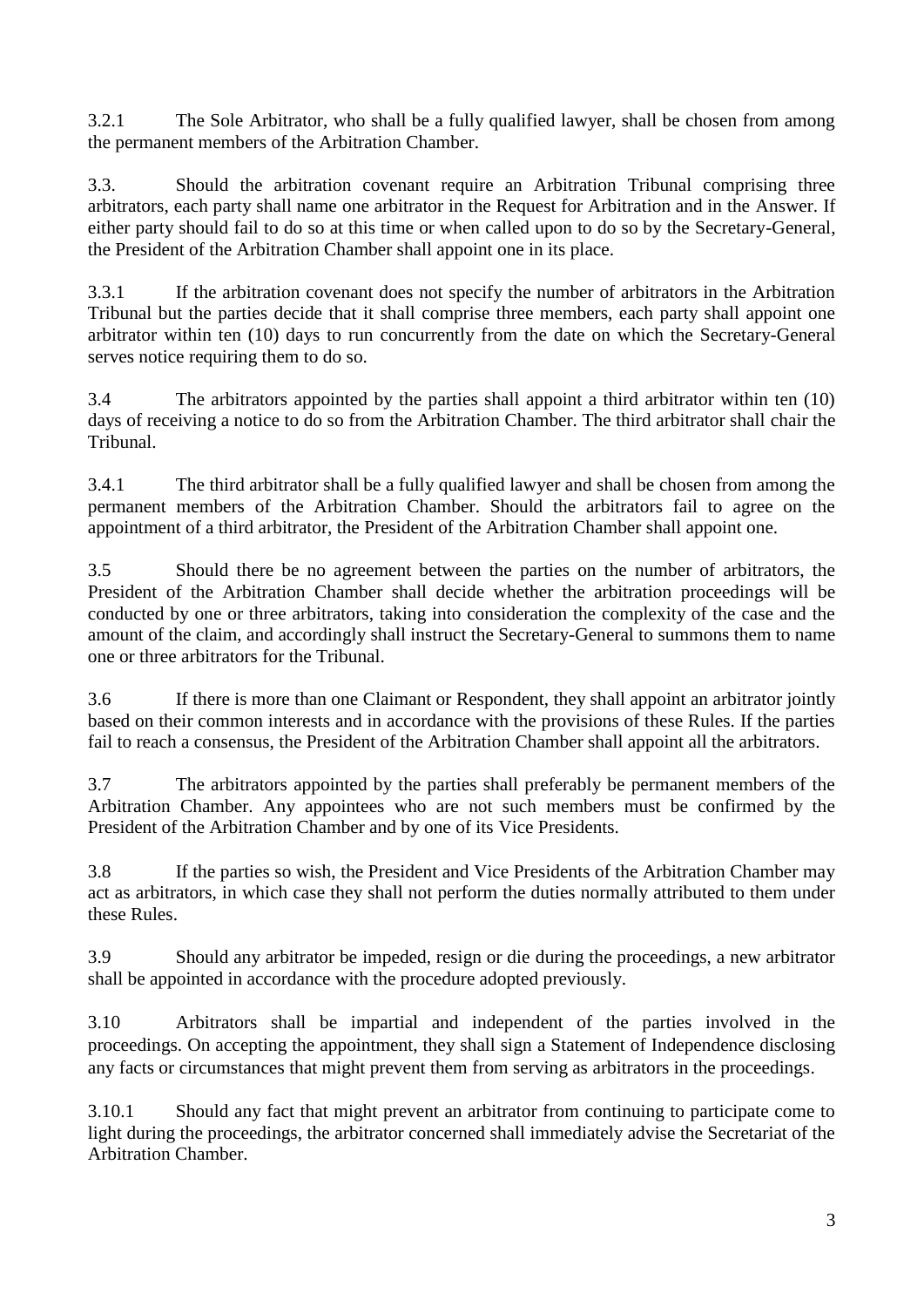3.2.1 The Sole Arbitrator, who shall be a fully qualified lawyer, shall be chosen from among the permanent members of the Arbitration Chamber.

3.3. Should the arbitration covenant require an Arbitration Tribunal comprising three arbitrators, each party shall name one arbitrator in the Request for Arbitration and in the Answer. If either party should fail to do so at this time or when called upon to do so by the Secretary-General, the President of the Arbitration Chamber shall appoint one in its place.

3.3.1 If the arbitration covenant does not specify the number of arbitrators in the Arbitration Tribunal but the parties decide that it shall comprise three members, each party shall appoint one arbitrator within ten (10) days to run concurrently from the date on which the Secretary-General serves notice requiring them to do so.

3.4 The arbitrators appointed by the parties shall appoint a third arbitrator within ten (10) days of receiving a notice to do so from the Arbitration Chamber. The third arbitrator shall chair the Tribunal.

3.4.1 The third arbitrator shall be a fully qualified lawyer and shall be chosen from among the permanent members of the Arbitration Chamber. Should the arbitrators fail to agree on the appointment of a third arbitrator, the President of the Arbitration Chamber shall appoint one.

3.5 Should there be no agreement between the parties on the number of arbitrators, the President of the Arbitration Chamber shall decide whether the arbitration proceedings will be conducted by one or three arbitrators, taking into consideration the complexity of the case and the amount of the claim, and accordingly shall instruct the Secretary-General to summons them to name one or three arbitrators for the Tribunal.

3.6 If there is more than one Claimant or Respondent, they shall appoint an arbitrator jointly based on their common interests and in accordance with the provisions of these Rules. If the parties fail to reach a consensus, the President of the Arbitration Chamber shall appoint all the arbitrators.

3.7 The arbitrators appointed by the parties shall preferably be permanent members of the Arbitration Chamber. Any appointees who are not such members must be confirmed by the President of the Arbitration Chamber and by one of its Vice Presidents.

3.8 If the parties so wish, the President and Vice Presidents of the Arbitration Chamber may act as arbitrators, in which case they shall not perform the duties normally attributed to them under these Rules.

3.9 Should any arbitrator be impeded, resign or die during the proceedings, a new arbitrator shall be appointed in accordance with the procedure adopted previously.

3.10 Arbitrators shall be impartial and independent of the parties involved in the proceedings. On accepting the appointment, they shall sign a Statement of Independence disclosing any facts or circumstances that might prevent them from serving as arbitrators in the proceedings.

3.10.1 Should any fact that might prevent an arbitrator from continuing to participate come to light during the proceedings, the arbitrator concerned shall immediately advise the Secretariat of the Arbitration Chamber.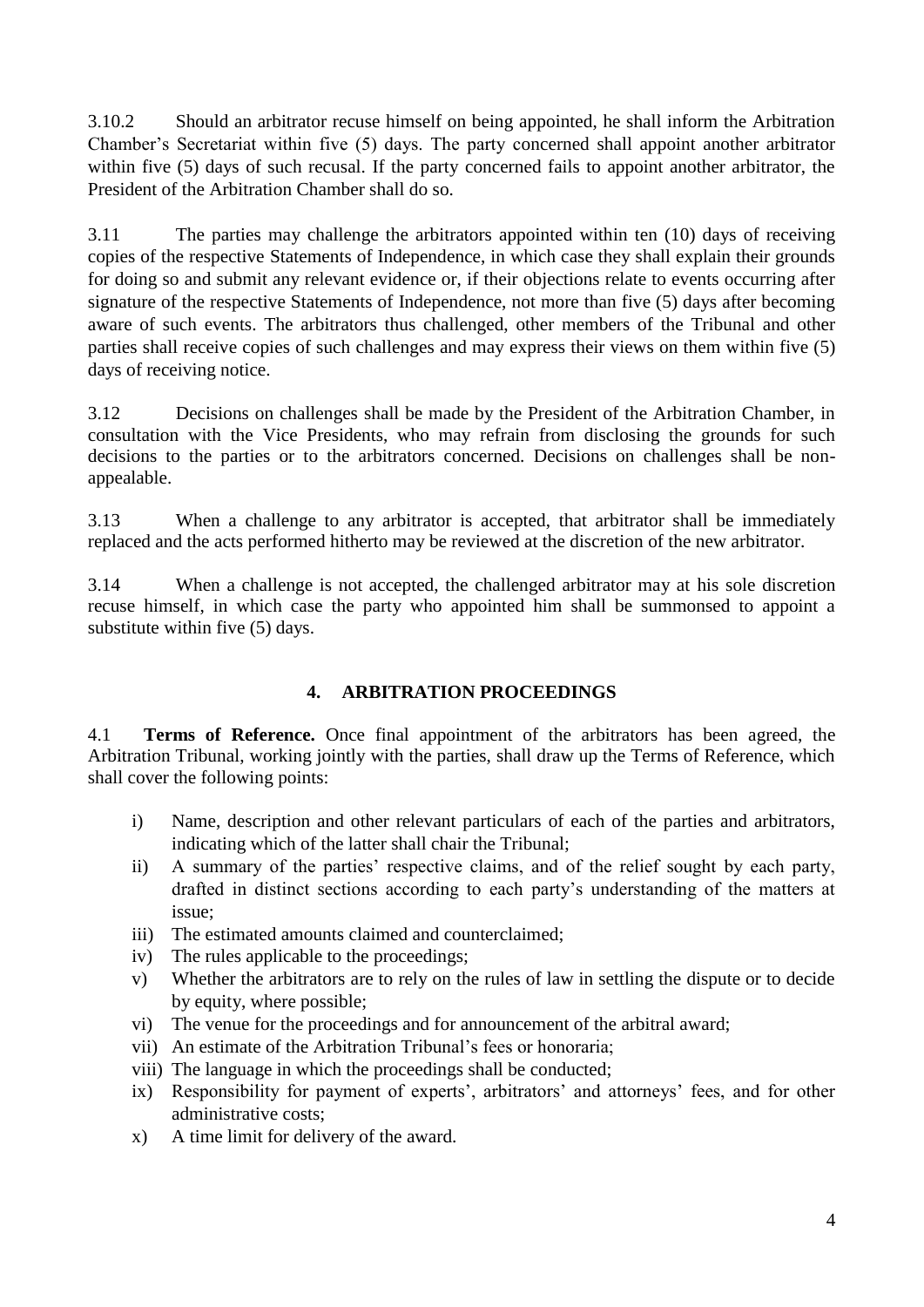3.10.2 Should an arbitrator recuse himself on being appointed, he shall inform the Arbitration Chamber's Secretariat within five (5) days. The party concerned shall appoint another arbitrator within five (5) days of such recusal. If the party concerned fails to appoint another arbitrator, the President of the Arbitration Chamber shall do so.

3.11 The parties may challenge the arbitrators appointed within ten (10) days of receiving copies of the respective Statements of Independence, in which case they shall explain their grounds for doing so and submit any relevant evidence or, if their objections relate to events occurring after signature of the respective Statements of Independence, not more than five (5) days after becoming aware of such events. The arbitrators thus challenged, other members of the Tribunal and other parties shall receive copies of such challenges and may express their views on them within five (5) days of receiving notice.

3.12 Decisions on challenges shall be made by the President of the Arbitration Chamber, in consultation with the Vice Presidents, who may refrain from disclosing the grounds for such decisions to the parties or to the arbitrators concerned. Decisions on challenges shall be nonappealable.

3.13 When a challenge to any arbitrator is accepted, that arbitrator shall be immediately replaced and the acts performed hitherto may be reviewed at the discretion of the new arbitrator.

3.14 When a challenge is not accepted, the challenged arbitrator may at his sole discretion recuse himself, in which case the party who appointed him shall be summonsed to appoint a substitute within five (5) days.

## **4. ARBITRATION PROCEEDINGS**

4.1 **Terms of Reference.** Once final appointment of the arbitrators has been agreed, the Arbitration Tribunal, working jointly with the parties, shall draw up the Terms of Reference, which shall cover the following points:

- i) Name, description and other relevant particulars of each of the parties and arbitrators, indicating which of the latter shall chair the Tribunal;
- ii) A summary of the parties' respective claims, and of the relief sought by each party, drafted in distinct sections according to each party's understanding of the matters at issue;
- iii) The estimated amounts claimed and counterclaimed;
- iv) The rules applicable to the proceedings;
- v) Whether the arbitrators are to rely on the rules of law in settling the dispute or to decide by equity, where possible;
- vi) The venue for the proceedings and for announcement of the arbitral award;
- vii) An estimate of the Arbitration Tribunal's fees or honoraria;
- viii) The language in which the proceedings shall be conducted;
- ix) Responsibility for payment of experts', arbitrators' and attorneys' fees, and for other administrative costs;
- x) A time limit for delivery of the award.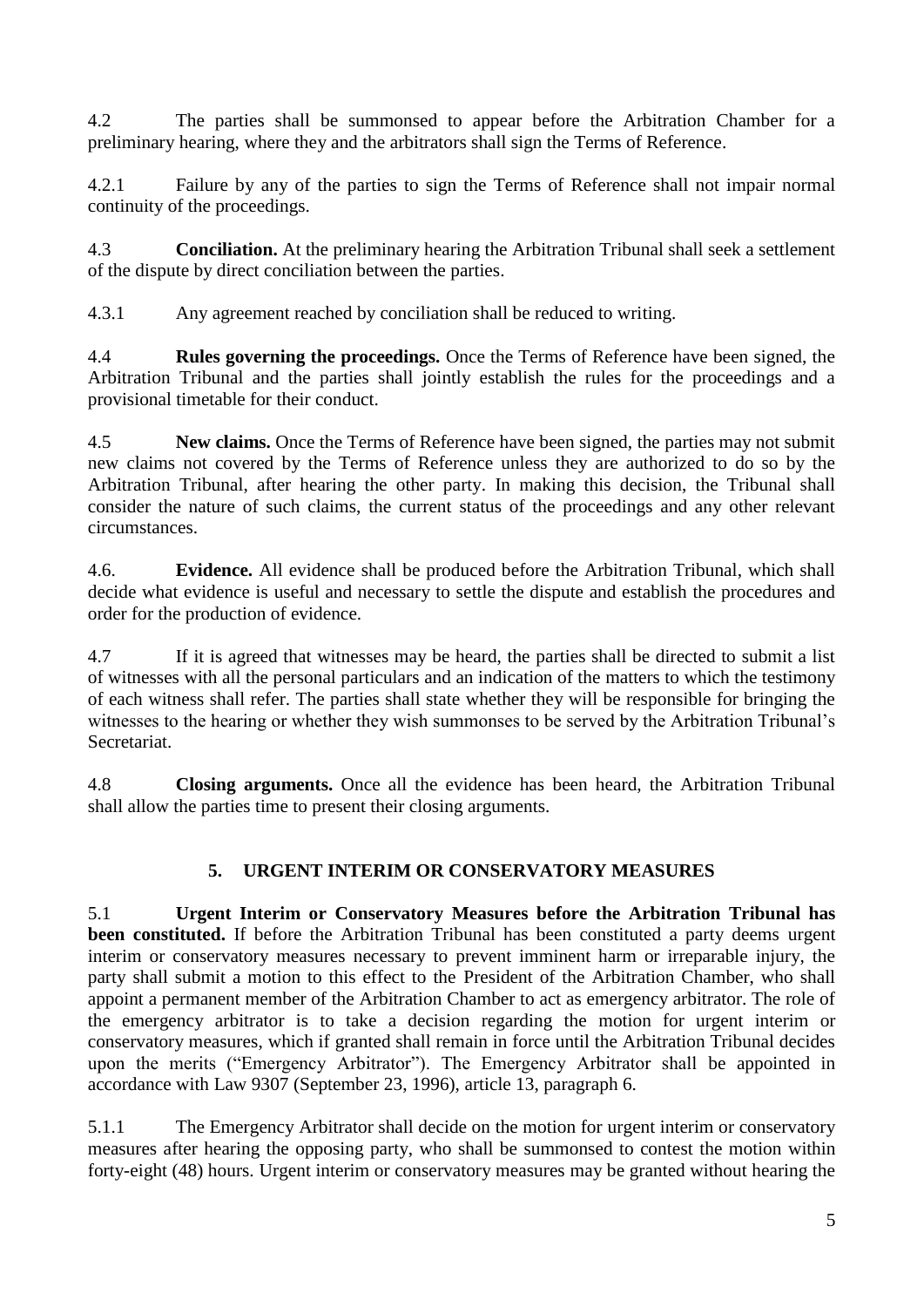4.2 The parties shall be summonsed to appear before the Arbitration Chamber for a preliminary hearing, where they and the arbitrators shall sign the Terms of Reference.

4.2.1 Failure by any of the parties to sign the Terms of Reference shall not impair normal continuity of the proceedings.

4.3 **Conciliation.** At the preliminary hearing the Arbitration Tribunal shall seek a settlement of the dispute by direct conciliation between the parties.

4.3.1 Any agreement reached by conciliation shall be reduced to writing.

4.4 **Rules governing the proceedings.** Once the Terms of Reference have been signed, the Arbitration Tribunal and the parties shall jointly establish the rules for the proceedings and a provisional timetable for their conduct.

4.5 **New claims.** Once the Terms of Reference have been signed, the parties may not submit new claims not covered by the Terms of Reference unless they are authorized to do so by the Arbitration Tribunal, after hearing the other party. In making this decision, the Tribunal shall consider the nature of such claims, the current status of the proceedings and any other relevant circumstances.

4.6. **Evidence.** All evidence shall be produced before the Arbitration Tribunal, which shall decide what evidence is useful and necessary to settle the dispute and establish the procedures and order for the production of evidence.

4.7 If it is agreed that witnesses may be heard, the parties shall be directed to submit a list of witnesses with all the personal particulars and an indication of the matters to which the testimony of each witness shall refer. The parties shall state whether they will be responsible for bringing the witnesses to the hearing or whether they wish summonses to be served by the Arbitration Tribunal's **Secretariat** 

4.8 **Closing arguments.** Once all the evidence has been heard, the Arbitration Tribunal shall allow the parties time to present their closing arguments.

# **5. URGENT INTERIM OR CONSERVATORY MEASURES**

5.1 **Urgent Interim or Conservatory Measures before the Arbitration Tribunal has been constituted.** If before the Arbitration Tribunal has been constituted a party deems urgent interim or conservatory measures necessary to prevent imminent harm or irreparable injury, the party shall submit a motion to this effect to the President of the Arbitration Chamber, who shall appoint a permanent member of the Arbitration Chamber to act as emergency arbitrator. The role of the emergency arbitrator is to take a decision regarding the motion for urgent interim or conservatory measures, which if granted shall remain in force until the Arbitration Tribunal decides upon the merits ("Emergency Arbitrator"). The Emergency Arbitrator shall be appointed in accordance with Law 9307 (September 23, 1996), article 13, paragraph 6.

5.1.1 The Emergency Arbitrator shall decide on the motion for urgent interim or conservatory measures after hearing the opposing party, who shall be summonsed to contest the motion within forty-eight (48) hours. Urgent interim or conservatory measures may be granted without hearing the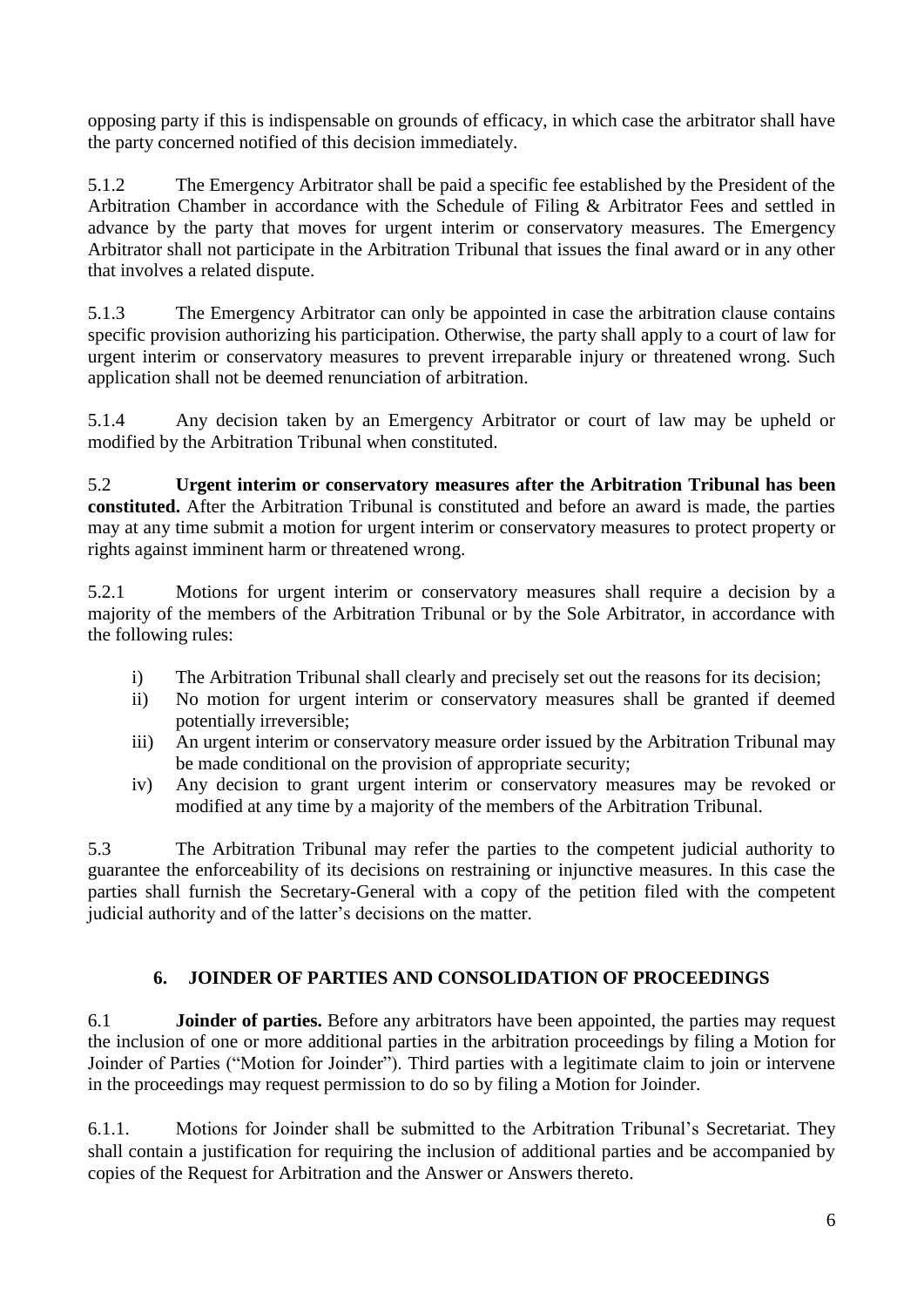opposing party if this is indispensable on grounds of efficacy, in which case the arbitrator shall have the party concerned notified of this decision immediately.

5.1.2 The Emergency Arbitrator shall be paid a specific fee established by the President of the Arbitration Chamber in accordance with the Schedule of Filing & Arbitrator Fees and settled in advance by the party that moves for urgent interim or conservatory measures. The Emergency Arbitrator shall not participate in the Arbitration Tribunal that issues the final award or in any other that involves a related dispute.

5.1.3 The Emergency Arbitrator can only be appointed in case the arbitration clause contains specific provision authorizing his participation. Otherwise, the party shall apply to a court of law for urgent interim or conservatory measures to prevent irreparable injury or threatened wrong. Such application shall not be deemed renunciation of arbitration.

5.1.4 Any decision taken by an Emergency Arbitrator or court of law may be upheld or modified by the Arbitration Tribunal when constituted.

5.2 **Urgent interim or conservatory measures after the Arbitration Tribunal has been constituted.** After the Arbitration Tribunal is constituted and before an award is made, the parties may at any time submit a motion for urgent interim or conservatory measures to protect property or rights against imminent harm or threatened wrong.

5.2.1 Motions for urgent interim or conservatory measures shall require a decision by a majority of the members of the Arbitration Tribunal or by the Sole Arbitrator, in accordance with the following rules:

- i) The Arbitration Tribunal shall clearly and precisely set out the reasons for its decision;
- ii) No motion for urgent interim or conservatory measures shall be granted if deemed potentially irreversible;
- iii) An urgent interim or conservatory measure order issued by the Arbitration Tribunal may be made conditional on the provision of appropriate security;
- iv) Any decision to grant urgent interim or conservatory measures may be revoked or modified at any time by a majority of the members of the Arbitration Tribunal.

5.3 The Arbitration Tribunal may refer the parties to the competent judicial authority to guarantee the enforceability of its decisions on restraining or injunctive measures. In this case the parties shall furnish the Secretary-General with a copy of the petition filed with the competent judicial authority and of the latter's decisions on the matter.

## **6. JOINDER OF PARTIES AND CONSOLIDATION OF PROCEEDINGS**

6.1 **Joinder of parties.** Before any arbitrators have been appointed, the parties may request the inclusion of one or more additional parties in the arbitration proceedings by filing a Motion for Joinder of Parties ("Motion for Joinder"). Third parties with a legitimate claim to join or intervene in the proceedings may request permission to do so by filing a Motion for Joinder.

6.1.1. Motions for Joinder shall be submitted to the Arbitration Tribunal's Secretariat. They shall contain a justification for requiring the inclusion of additional parties and be accompanied by copies of the Request for Arbitration and the Answer or Answers thereto.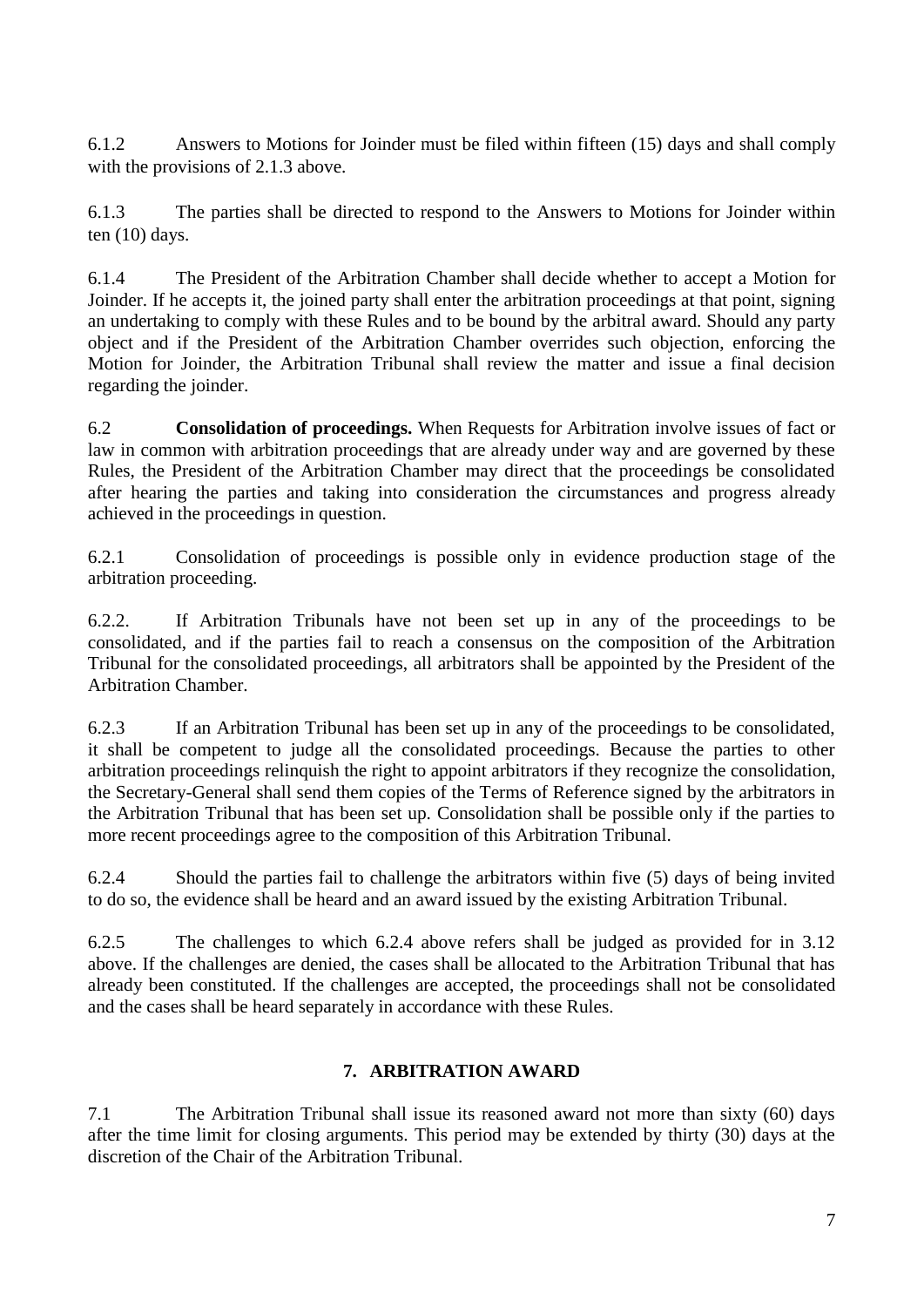6.1.2 Answers to Motions for Joinder must be filed within fifteen (15) days and shall comply with the provisions of 2.1.3 above.

6.1.3 The parties shall be directed to respond to the Answers to Motions for Joinder within ten (10) days.

6.1.4 The President of the Arbitration Chamber shall decide whether to accept a Motion for Joinder. If he accepts it, the joined party shall enter the arbitration proceedings at that point, signing an undertaking to comply with these Rules and to be bound by the arbitral award. Should any party object and if the President of the Arbitration Chamber overrides such objection, enforcing the Motion for Joinder, the Arbitration Tribunal shall review the matter and issue a final decision regarding the joinder.

6.2 **Consolidation of proceedings.** When Requests for Arbitration involve issues of fact or law in common with arbitration proceedings that are already under way and are governed by these Rules, the President of the Arbitration Chamber may direct that the proceedings be consolidated after hearing the parties and taking into consideration the circumstances and progress already achieved in the proceedings in question.

6.2.1 Consolidation of proceedings is possible only in evidence production stage of the arbitration proceeding.

6.2.2. If Arbitration Tribunals have not been set up in any of the proceedings to be consolidated, and if the parties fail to reach a consensus on the composition of the Arbitration Tribunal for the consolidated proceedings, all arbitrators shall be appointed by the President of the Arbitration Chamber.

6.2.3 If an Arbitration Tribunal has been set up in any of the proceedings to be consolidated, it shall be competent to judge all the consolidated proceedings. Because the parties to other arbitration proceedings relinquish the right to appoint arbitrators if they recognize the consolidation, the Secretary-General shall send them copies of the Terms of Reference signed by the arbitrators in the Arbitration Tribunal that has been set up. Consolidation shall be possible only if the parties to more recent proceedings agree to the composition of this Arbitration Tribunal.

6.2.4 Should the parties fail to challenge the arbitrators within five (5) days of being invited to do so, the evidence shall be heard and an award issued by the existing Arbitration Tribunal.

6.2.5 The challenges to which 6.2.4 above refers shall be judged as provided for in 3.12 above. If the challenges are denied, the cases shall be allocated to the Arbitration Tribunal that has already been constituted. If the challenges are accepted, the proceedings shall not be consolidated and the cases shall be heard separately in accordance with these Rules.

## **7. ARBITRATION AWARD**

7.1 The Arbitration Tribunal shall issue its reasoned award not more than sixty (60) days after the time limit for closing arguments. This period may be extended by thirty (30) days at the discretion of the Chair of the Arbitration Tribunal.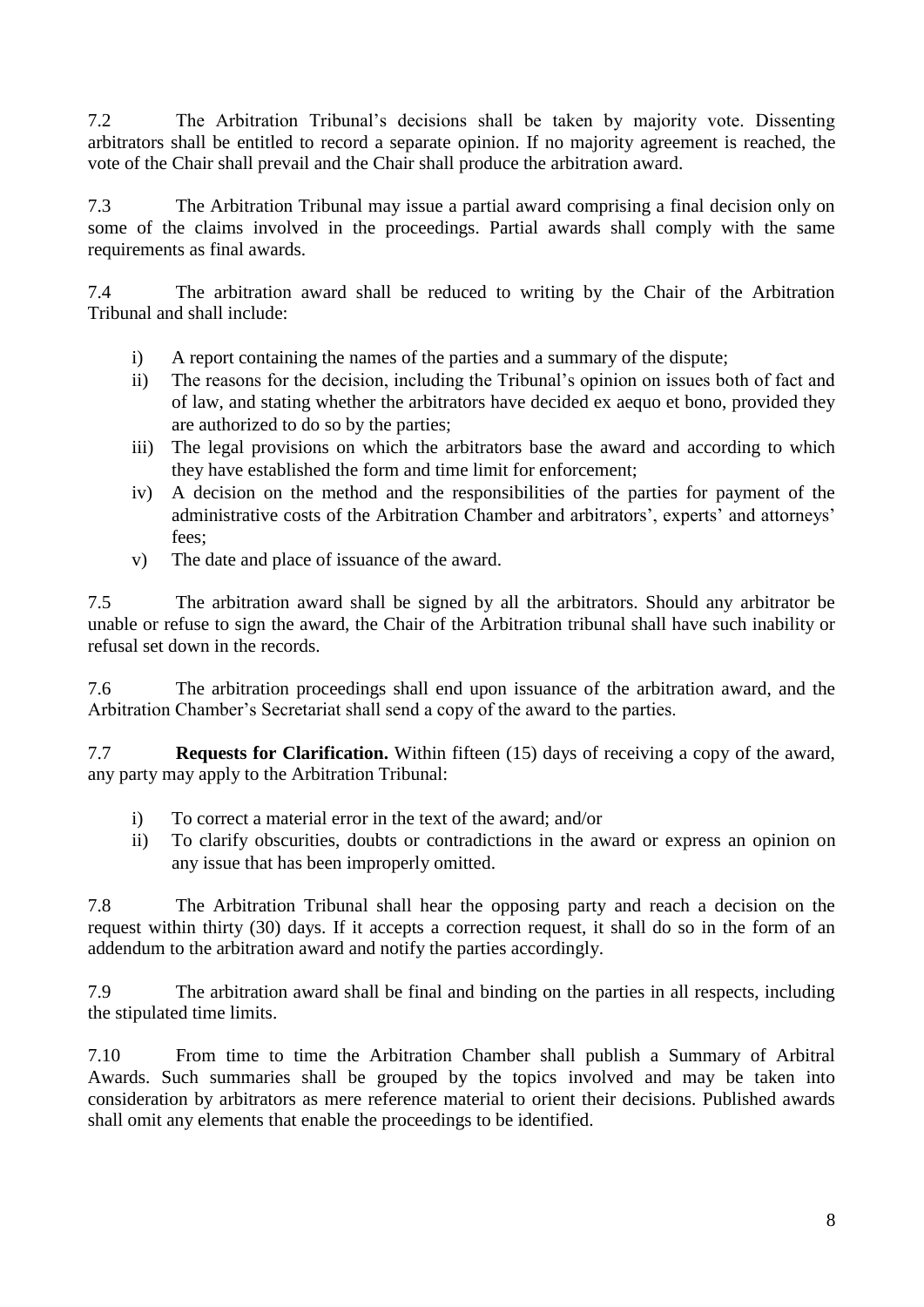7.2 The Arbitration Tribunal's decisions shall be taken by majority vote. Dissenting arbitrators shall be entitled to record a separate opinion. If no majority agreement is reached, the vote of the Chair shall prevail and the Chair shall produce the arbitration award.

7.3 The Arbitration Tribunal may issue a partial award comprising a final decision only on some of the claims involved in the proceedings. Partial awards shall comply with the same requirements as final awards.

7.4 The arbitration award shall be reduced to writing by the Chair of the Arbitration Tribunal and shall include:

- i) A report containing the names of the parties and a summary of the dispute;
- ii) The reasons for the decision, including the Tribunal's opinion on issues both of fact and of law, and stating whether the arbitrators have decided ex aequo et bono, provided they are authorized to do so by the parties;
- iii) The legal provisions on which the arbitrators base the award and according to which they have established the form and time limit for enforcement;
- iv) A decision on the method and the responsibilities of the parties for payment of the administrative costs of the Arbitration Chamber and arbitrators', experts' and attorneys' fees;
- v) The date and place of issuance of the award.

7.5 The arbitration award shall be signed by all the arbitrators. Should any arbitrator be unable or refuse to sign the award, the Chair of the Arbitration tribunal shall have such inability or refusal set down in the records.

7.6 The arbitration proceedings shall end upon issuance of the arbitration award, and the Arbitration Chamber's Secretariat shall send a copy of the award to the parties.

7.7 **Requests for Clarification.** Within fifteen (15) days of receiving a copy of the award, any party may apply to the Arbitration Tribunal:

- i) To correct a material error in the text of the award; and/or
- ii) To clarify obscurities, doubts or contradictions in the award or express an opinion on any issue that has been improperly omitted.

7.8 The Arbitration Tribunal shall hear the opposing party and reach a decision on the request within thirty (30) days. If it accepts a correction request, it shall do so in the form of an addendum to the arbitration award and notify the parties accordingly.

7.9 The arbitration award shall be final and binding on the parties in all respects, including the stipulated time limits.

7.10 From time to time the Arbitration Chamber shall publish a Summary of Arbitral Awards. Such summaries shall be grouped by the topics involved and may be taken into consideration by arbitrators as mere reference material to orient their decisions. Published awards shall omit any elements that enable the proceedings to be identified.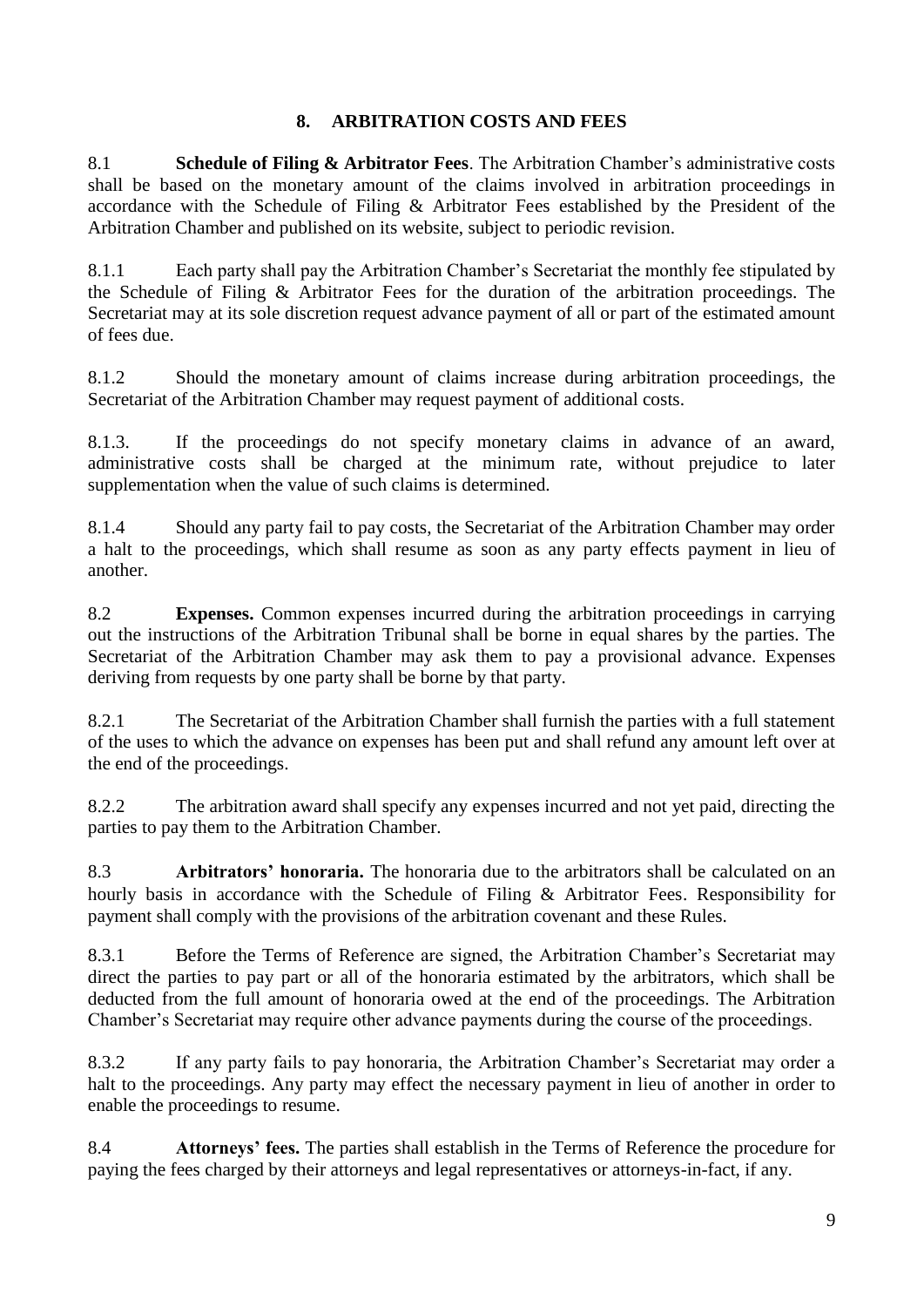#### **8. ARBITRATION COSTS AND FEES**

8.1 **Schedule of Filing & Arbitrator Fees**. The Arbitration Chamber's administrative costs shall be based on the monetary amount of the claims involved in arbitration proceedings in accordance with the Schedule of Filing & Arbitrator Fees established by the President of the Arbitration Chamber and published on its website, subject to periodic revision.

8.1.1 Each party shall pay the Arbitration Chamber's Secretariat the monthly fee stipulated by the Schedule of Filing & Arbitrator Fees for the duration of the arbitration proceedings. The Secretariat may at its sole discretion request advance payment of all or part of the estimated amount of fees due.

8.1.2 Should the monetary amount of claims increase during arbitration proceedings, the Secretariat of the Arbitration Chamber may request payment of additional costs.

8.1.3. If the proceedings do not specify monetary claims in advance of an award, administrative costs shall be charged at the minimum rate, without prejudice to later supplementation when the value of such claims is determined.

8.1.4 Should any party fail to pay costs, the Secretariat of the Arbitration Chamber may order a halt to the proceedings, which shall resume as soon as any party effects payment in lieu of another.

8.2 **Expenses.** Common expenses incurred during the arbitration proceedings in carrying out the instructions of the Arbitration Tribunal shall be borne in equal shares by the parties. The Secretariat of the Arbitration Chamber may ask them to pay a provisional advance. Expenses deriving from requests by one party shall be borne by that party.

8.2.1 The Secretariat of the Arbitration Chamber shall furnish the parties with a full statement of the uses to which the advance on expenses has been put and shall refund any amount left over at the end of the proceedings.

8.2.2 The arbitration award shall specify any expenses incurred and not yet paid, directing the parties to pay them to the Arbitration Chamber.

8.3 **Arbitrators' honoraria.** The honoraria due to the arbitrators shall be calculated on an hourly basis in accordance with the Schedule of Filing & Arbitrator Fees. Responsibility for payment shall comply with the provisions of the arbitration covenant and these Rules.

8.3.1 Before the Terms of Reference are signed, the Arbitration Chamber's Secretariat may direct the parties to pay part or all of the honoraria estimated by the arbitrators, which shall be deducted from the full amount of honoraria owed at the end of the proceedings. The Arbitration Chamber's Secretariat may require other advance payments during the course of the proceedings.

8.3.2 If any party fails to pay honoraria, the Arbitration Chamber's Secretariat may order a halt to the proceedings. Any party may effect the necessary payment in lieu of another in order to enable the proceedings to resume.

8.4 **Attorneys' fees.** The parties shall establish in the Terms of Reference the procedure for paying the fees charged by their attorneys and legal representatives or attorneys-in-fact, if any.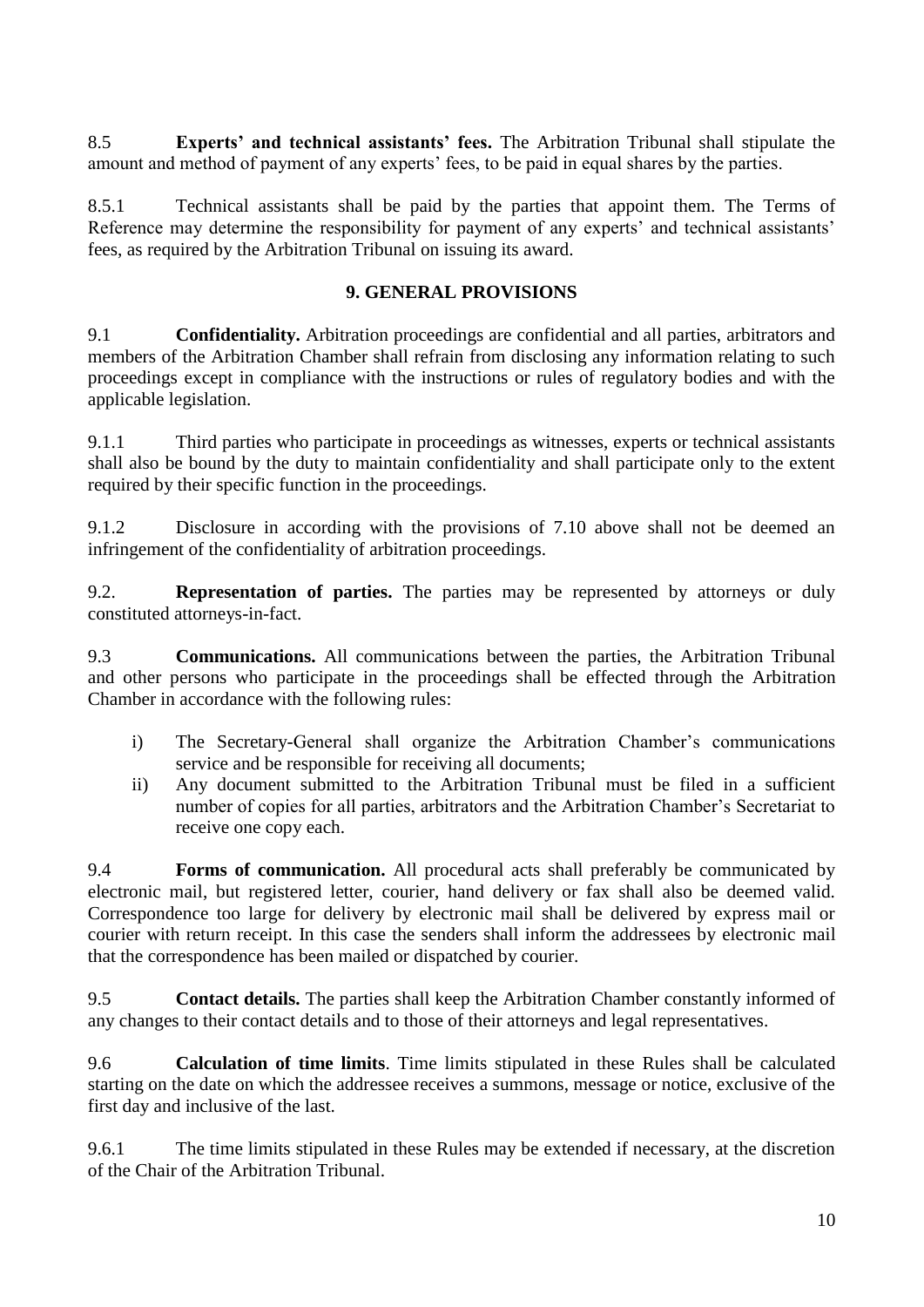8.5 **Experts' and technical assistants' fees.** The Arbitration Tribunal shall stipulate the amount and method of payment of any experts' fees, to be paid in equal shares by the parties.

8.5.1 Technical assistants shall be paid by the parties that appoint them. The Terms of Reference may determine the responsibility for payment of any experts' and technical assistants' fees, as required by the Arbitration Tribunal on issuing its award.

#### **9. GENERAL PROVISIONS**

9.1 **Confidentiality.** Arbitration proceedings are confidential and all parties, arbitrators and members of the Arbitration Chamber shall refrain from disclosing any information relating to such proceedings except in compliance with the instructions or rules of regulatory bodies and with the applicable legislation.

9.1.1 Third parties who participate in proceedings as witnesses, experts or technical assistants shall also be bound by the duty to maintain confidentiality and shall participate only to the extent required by their specific function in the proceedings.

9.1.2 Disclosure in according with the provisions of 7.10 above shall not be deemed an infringement of the confidentiality of arbitration proceedings.

9.2. **Representation of parties.** The parties may be represented by attorneys or duly constituted attorneys-in-fact.

9.3 **Communications.** All communications between the parties, the Arbitration Tribunal and other persons who participate in the proceedings shall be effected through the Arbitration Chamber in accordance with the following rules:

- i) The Secretary-General shall organize the Arbitration Chamber's communications service and be responsible for receiving all documents;
- ii) Any document submitted to the Arbitration Tribunal must be filed in a sufficient number of copies for all parties, arbitrators and the Arbitration Chamber's Secretariat to receive one copy each.

9.4 **Forms of communication.** All procedural acts shall preferably be communicated by electronic mail, but registered letter, courier, hand delivery or fax shall also be deemed valid. Correspondence too large for delivery by electronic mail shall be delivered by express mail or courier with return receipt. In this case the senders shall inform the addressees by electronic mail that the correspondence has been mailed or dispatched by courier.

9.5 **Contact details.** The parties shall keep the Arbitration Chamber constantly informed of any changes to their contact details and to those of their attorneys and legal representatives.

9.6 **Calculation of time limits**. Time limits stipulated in these Rules shall be calculated starting on the date on which the addressee receives a summons, message or notice, exclusive of the first day and inclusive of the last.

9.6.1 The time limits stipulated in these Rules may be extended if necessary, at the discretion of the Chair of the Arbitration Tribunal.